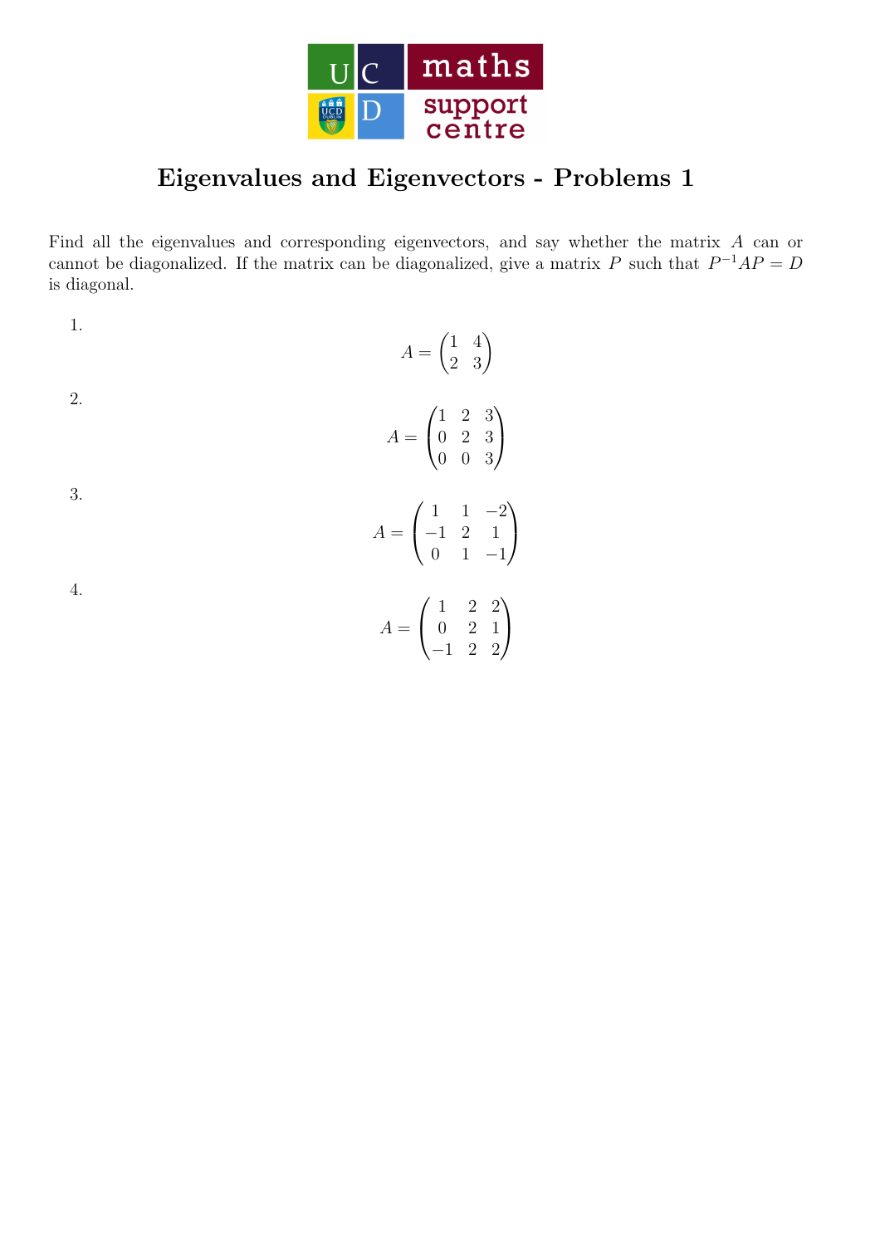

## Eigenvalues and Eigenvectors - Problems 1

Find all the eigenvalues and corresponding eigenvectors, and say whether the matrix A can or cannot be diagonalized. If the matrix can be diagonalized, give a matrix P such that  $P^{-1}AP = D$ is diagonal.

1.  
\n
$$
A = \begin{pmatrix} 1 & 4 \\ 2 & 3 \end{pmatrix}
$$
\n2.  
\n
$$
A = \begin{pmatrix} 1 & 2 & 3 \\ 0 & 2 & 3 \\ 0 & 0 & 3 \end{pmatrix}
$$
\n3.  
\n
$$
A = \begin{pmatrix} 1 & 1 & -2 \\ -1 & 2 & 1 \\ 0 & 1 & -1 \end{pmatrix}
$$
\n4.  
\n
$$
A = \begin{pmatrix} 1 & 2 & 2 \\ 0 & 2 & 1 \\ -1 & 2 & 2 \end{pmatrix}
$$